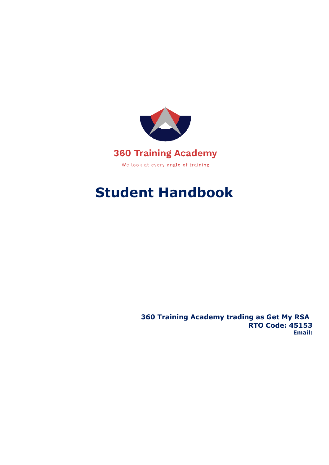

# **Student Handbook**

**360 Training Academy trading as Get My RSA RTO Code: 45153 Email:**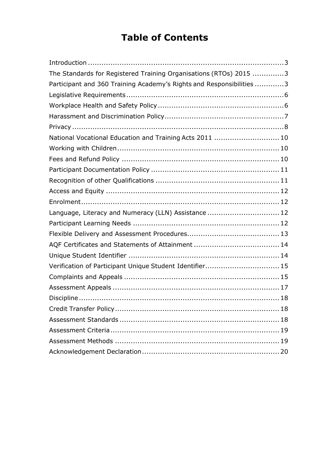# **Table of Contents**

| The Standards for Registered Training Organisations (RTOs) 2015 3    |  |
|----------------------------------------------------------------------|--|
| Participant and 360 Training Academy's Rights and Responsibilities 3 |  |
|                                                                      |  |
|                                                                      |  |
|                                                                      |  |
|                                                                      |  |
| National Vocational Education and Training Acts 2011  10             |  |
|                                                                      |  |
|                                                                      |  |
|                                                                      |  |
|                                                                      |  |
|                                                                      |  |
|                                                                      |  |
| Language, Literacy and Numeracy (LLN) Assistance  12                 |  |
|                                                                      |  |
|                                                                      |  |
|                                                                      |  |
|                                                                      |  |
| Verification of Participant Unique Student Identifier 15             |  |
|                                                                      |  |
|                                                                      |  |
|                                                                      |  |
|                                                                      |  |
|                                                                      |  |
|                                                                      |  |
|                                                                      |  |
|                                                                      |  |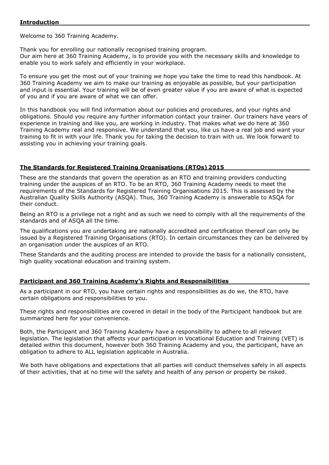<span id="page-2-0"></span>Welcome to 360 Training Academy.

Thank you for enrolling our nationally recognised training program. Our aim here at 360 Training Academy, is to provide you with the necessary skills and knowledge to enable you to work safely and efficiently in your workplace.

To ensure you get the most out of your training we hope you take the time to read this handbook. At 360 Training Academy we aim to make our training as enjoyable as possible, but your participation and input is essential. Your training will be of even greater value if you are aware of what is expected of you and if you are aware of what we can offer.

In this handbook you will find information about our policies and procedures, and your rights and obligations. Should you require any further information contact your trainer. Our trainers have years of experience in training and like you, are working in industry. That makes what we do here at 360 Training Academy real and responsive. We understand that you, like us have a real job and want your training to fit in with your life. Thank you for taking the decision to train with us. We look forward to assisting you in achieving your training goals.

#### <span id="page-2-1"></span>**The Standards for Registered Training Organisations (RTOs) 2015**

These are the standards that govern the operation as an RTO and training providers conducting training under the auspices of an RTO. To be an RTO, 360 Training Academy needs to meet the requirements of the Standards for Registered Training Organisations 2015. This is assessed by the Australian Quality Skills Authority (ASQA). Thus, 360 Training Academy is answerable to ASQA for their conduct.

Being an RTO is a privilege not a right and as such we need to comply with all the requirements of the standards and of ASQA all the time.

The qualifications you are undertaking are nationally accredited and certification thereof can only be issued by a Registered Training Organisations (RTO). In certain circumstances they can be delivered by an organisation under the auspices of an RTO.

These Standards and the auditing process are intended to provide the basis for a nationally consistent, high quality vocational education and training system.

#### <span id="page-2-2"></span>**Participant and 360 Training Academy's Rights and Responsibilities**

As a participant in our RTO, you have certain rights and responsibilities as do we, the RTO, have certain obligations and responsibilities to you.

These rights and responsibilities are covered in detail in the body of the Participant handbook but are summarized here for your convenience.

Both, the Participant and 360 Training Academy have a responsibility to adhere to all relevant legislation. The legislation that affects your participation in Vocational Education and Training (VET) is detailed within this document, however both 360 Training Academy and you, the participant, have an obligation to adhere to ALL legislation applicable in Australia.

We both have obligations and expectations that all parties will conduct themselves safely in all aspects of their activities, that at no time will the safety and health of any person or property be risked.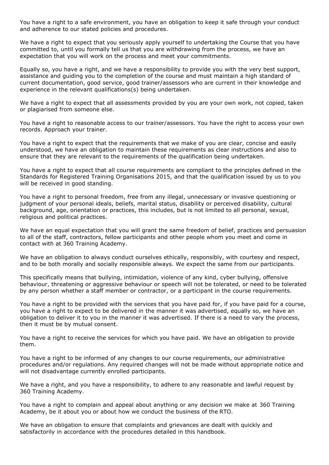You have a right to a safe environment, you have an obligation to keep it safe through your conduct and adherence to our stated policies and procedures.

We have a right to expect that you seriously apply yourself to undertaking the Course that you have committed to, until you formally tell us that you are withdrawing from the process, we have an expectation that you will work on the process and meet your commitments.

Equally so, you have a right, and we have a responsibility to provide you with the very best support, assistance and guiding you to the completion of the course and must maintain a high standard of current documentation, good service, good trainer/assessors who are current in their knowledge and experience in the relevant qualifications(s) being undertaken.

We have a right to expect that all assessments provided by you are your own work, not copied, taken or plagiarised from someone else.

You have a right to reasonable access to our trainer/assessors. You have the right to access your own records. Approach your trainer.

You have a right to expect that the requirements that we make of you are clear, concise and easily understood, we have an obligation to maintain these requirements as clear instructions and also to ensure that they are relevant to the requirements of the qualification being undertaken.

You have a right to expect that all course requirements are compliant to the principles defined in the Standards for Registered Training Organisations 2015, and that the qualification issued by us to you will be received in good standing.

You have a right to personal freedom, free from any illegal, unnecessary or invasive questioning or judgment of your personal ideals, beliefs, marital status, disability or perceived disability, cultural background, age, orientation or practices, this includes, but is not limited to all personal, sexual, religious and political practices.

We have an equal expectation that you will grant the same freedom of belief, practices and persuasion to all of the staff, contractors, fellow participants and other people whom you meet and come in contact with at 360 Training Academy.

We have an obligation to always conduct ourselves ethically, responsibly, with courtesy and respect, and to be both morally and socially responsible always. We expect the same from our participants.

This specifically means that bullying, intimidation, violence of any kind, cyber bullying, offensive behaviour, threatening or aggressive behaviour or speech will not be tolerated, or need to be tolerated by any person whether a staff member or contractor, or a participant in the course requirements.

You have a right to be provided with the services that you have paid for, if you have paid for a course, you have a right to expect to be delivered in the manner it was advertised, equally so, we have an obligation to deliver it to you in the manner it was advertised. If there is a need to vary the process, then it must be by mutual consent.

You have a right to receive the services for which you have paid. We have an obligation to provide them.

You have a right to be informed of any changes to our course requirements, our administrative procedures and/or regulations. Any required changes will not be made without appropriate notice and will not disadvantage currently enrolled participants.

We have a right, and you have a responsibility, to adhere to any reasonable and lawful request by 360 Training Academy.

You have a right to complain and appeal about anything or any decision we make at 360 Training Academy, be it about you or about how we conduct the business of the RTO.

We have an obligation to ensure that complaints and grievances are dealt with quickly and satisfactorily in accordance with the procedures detailed in this handbook.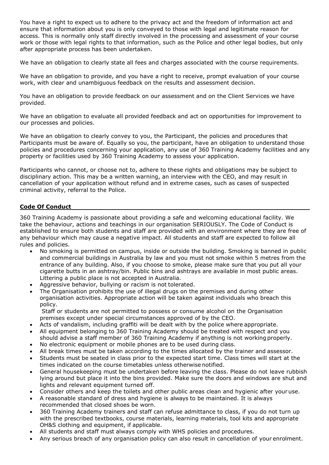You have a right to expect us to adhere to the privacy act and the freedom of information act and ensure that information about you is only conveyed to those with legal and legitimate reason for access. This is normally only staff directly involved in the processing and assessment of your course work or those with legal rights to that information, such as the Police and other legal bodies, but only after appropriate process has been undertaken.

We have an obligation to clearly state all fees and charges associated with the course requirements.

We have an obligation to provide, and you have a right to receive, prompt evaluation of your course work, with clear and unambiguous feedback on the results and assessment decision.

You have an obligation to provide feedback on our assessment and on the Client Services we have provided.

We have an obligation to evaluate all provided feedback and act on opportunities for improvement to our processes and policies.

We have an obligation to clearly convey to you, the Participant, the policies and procedures that Participants must be aware of. Equally so you, the participant, have an obligation to understand those policies and procedures concerning your application, any use of 360 Training Academy facilities and any property or facilities used by 360 Training Academy to assess your application.

Participants who cannot, or choose not to, adhere to these rights and obligations may be subject to disciplinary action. This may be a written warning, an interview with the CEO, and may result in cancellation of your application without refund and in extreme cases, such as cases of suspected criminal activity, referral to the Police.

#### **Code Of Conduct**

360 Training Academy is passionate about providing a safe and welcoming educational facility. We take the behaviour, actions and teachings in our organisation SERIOUSLY. The Code of Conduct is established to ensure both students and staff are provided with an environment where they are free of any behaviour which may cause a negative impact. All students and staff are expected to follow all rules and policies.

- No smoking is permitted on campus, inside or outside the building. Smoking is banned in public and commercial buildings in Australia by law and you must not smoke within 5 metres from the entrance of any building. Also, if you choose to smoke, please make sure that you put all your cigarette butts in an ashtray/bin. Public bins and ashtrays are available in most public areas. Littering a public place is not accepted in Australia.
- Aggressive behavior, bullying or racism is not tolerated.
- The Organisation prohibits the use of illegal drugs on the premises and during other organisation activities. Appropriate action will be taken against individuals who breach this policy.

Staff or students are not permitted to possess or consume alcohol on the Organisation premises except under special circumstances approved of by the CEO.

- Acts of vandalism, including graffiti will be dealt with by the police where appropriate.
- All equipment belonging to 360 Training Academy should be treated with respect and you should advise a staff member of 360 Training Academy if anything is not working properly.
- No electronic equipment or mobile phones are to be used during class.
- All break times must be taken according to the times allocated by the trainer and assessor.
- Students must be seated in class prior to the expected start time. Class times will start at the times indicated on the course timetables unless otherwise notified.
- General housekeeping must be undertaken before leaving the class. Please do not leave rubbish lying around but place it into the bins provided. Make sure the doors and windows are shut and lights and relevant equipment turned off.
- Consider others and keep the toilets and other public areas clean and hygienic after youruse.
- A reasonable standard of dress and hygiene is always to be maintained. It is always recommended that closed shoes be worn.
- 360 Training Academy trainers and staff can refuse admittance to class, if you do not turn up with the prescribed textbooks, course materials, learning materials, tool kits and appropriate OH&S clothing and equipment, if applicable.
- All students and staff must always comply with WHS policies and procedures.
- Any serious breach of any organisation policy can also result in cancellation of your enrolment.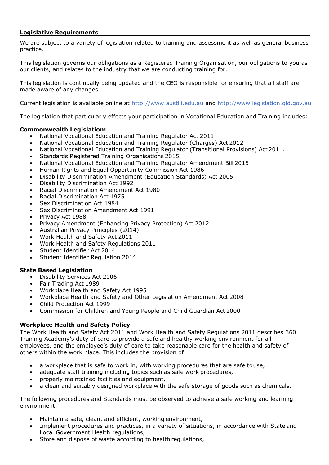#### <span id="page-5-0"></span>**Legislative Requirements**

We are subject to a variety of legislation related to training and assessment as well as general business practice.

This legislation governs our obligations as a Registered Training Organisation, our obligations to you as our clients, and relates to the industry that we are conducting training for.

This legislation is continually being updated and the CEO is responsible for ensuring that all staff are made aware of any changes.

Current legislation is available online at [http://www.austlii.edu.au a](http://www.austli.edu.au/)nd http:/[/www.legislation.qld.gov.au](http://www.legislation.qld.gov.au/)

The legislation that particularly effects your participation in Vocational Education and Training includes:

#### **Commonwealth Legislation:**

- National Vocational Education and Training Regulator Act 2011
- National Vocational Education and Training Regulator (Charges) Act 2012
- National Vocational Education and Training Regulator (Transitional Provisions) Act 2011.
- Standards Registered Training Organisations 2015
- National Vocational Education and Training Regulator Amendment Bill 2015
- Human Rights and Equal Opportunity Commission Act 1986
- Disability Discrimination Amendment (Education Standards) Act 2005
- Disability Discrimination Act 1992
- Racial Discrimination Amendment Act 1980
- Racial Discrimination Act 1975
- Sex Discrimination Act 1984
- Sex Discrimination Amendment Act 1991
- Privacy Act 1988
- Privacy Amendment (Enhancing Privacy Protection) Act 2012
- Australian Privacy Principles (2014)
- Work Health and Safety Act 2011
- Work Health and Safety Regulations 2011
- Student Identifier Act 2014
- Student Identifier Regulation 2014

#### **State Based Legislation**

- Disability Services Act 2006
- Fair Trading Act 1989
- Workplace Health and Safety Act 1995
- Workplace Health and Safety and Other Legislation Amendment Act 2008
- Child Protection Act 1999
- Commission for Children and Young People and Child Guardian Act 2000

#### <span id="page-5-1"></span>**Workplace Health and Safety Policy**

The Work Health and Safety Act 2011 and Work Health and Safety Regulations 2011 describes 360 Training Academy's duty of care to provide a safe and healthy working environment for all employees, and the employee's duty of care to take reasonable care for the health and safety of others within the work place. This includes the provision of:

- a workplace that is safe to work in, with working procedures that are safe touse,
- adequate staff training including topics such as safe work procedures,
- properly maintained facilities and equipment,
- a clean and suitably designed workplace with the safe storage of goods such as chemicals.

The following procedures and Standards must be observed to achieve a safe working and learning environment:

- Maintain a safe, clean, and efficient, working environment,
- Implement procedures and practices, in a variety of situations, in accordance with State and Local Government Health regulations,
- Store and dispose of waste according to health regulations,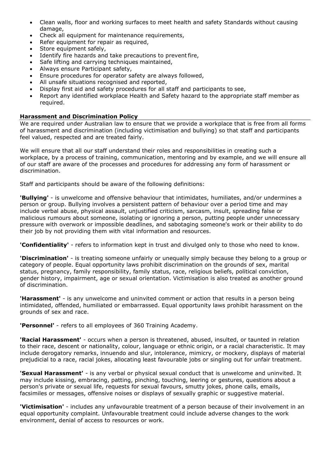- Clean walls, floor and working surfaces to meet health and safety Standards without causing damage,
- Check all equipment for maintenance requirements,
- Refer equipment for repair as required,
- Store equipment safely,
- Identify fire hazards and take precautions to prevent fire,
- Safe lifting and carrying techniques maintained,
- Always ensure Participant safety,
- Ensure procedures for operator safety are always followed,
- All unsafe situations recognised and reported,
- Display first aid and safety procedures for all staff and participants to see,
- Report any identified workplace Health and Safety hazard to the appropriate staff member as required.

#### <span id="page-6-0"></span>**Harassment and Discrimination Policy**

We are required under Australian law to ensure that we provide a workplace that is free from all forms of harassment and discrimination (including victimisation and bullying) so that staff and participants feel valued, respected and are treated fairly.

We will ensure that all our staff understand their roles and responsibilities in creating such a workplace, by a process of training, communication, mentoring and by example, and we will ensure all of our staff are aware of the processes and procedures for addressing any form of harassment or discrimination.

Staff and participants should be aware of the following definitions:

**'Bullying'** - is unwelcome and offensive behaviour that intimidates, humiliates, and/or undermines a person or group. Bullying involves a persistent pattern of behaviour over a period time and may include verbal abuse, physical assault, unjustified criticism, sarcasm, insult, spreading false or malicious rumours about someone, isolating or ignoring a person, putting people under unnecessary pressure with overwork or impossible deadlines, and sabotaging someone's work or their ability to do their job by not providing them with vital information and resources.

**'Confidentiality'** - refers to information kept in trust and divulged only to those who need to know.

**'Discrimination'** - is treating someone unfairly or unequally simply because they belong to a group or category of people. Equal opportunity laws prohibit discrimination on the grounds of sex, marital status, pregnancy, family responsibility, family status, race, religious beliefs, political conviction, gender history, impairment, age or sexual orientation. Victimisation is also treated as another ground of discrimination.

**'Harassment'** - is any unwelcome and uninvited comment or action that results in a person being intimidated, offended, humiliated or embarrassed. Equal opportunity laws prohibit harassment on the grounds of sex and race.

**'Personnel'** - refers to all employees of 360 Training Academy.

**'Racial Harassment'** - occurs when a person is threatened, abused, insulted, or taunted in relation to their race, descent or nationality, colour, language or ethnic origin, or a racial characteristic. It may include derogatory remarks, innuendo and slur, intolerance, mimicry, or mockery, displays of material prejudicial to a race, racial jokes, allocating least favourable jobs or singling out for unfair treatment.

**'Sexual Harassment'** - is any verbal or physical sexual conduct that is unwelcome and uninvited. It may include kissing, embracing, patting, pinching, touching, leering or gestures, questions about a person's private or sexual life, requests for sexual favours, smutty jokes, phone calls, emails, facsimiles or messages, offensive noises or displays of sexually graphic or suggestive material.

**'Victimisation'** - includes any unfavourable treatment of a person because of their involvement in an equal opportunity complaint. Unfavourable treatment could include adverse changes to the work environment, denial of access to resources or work.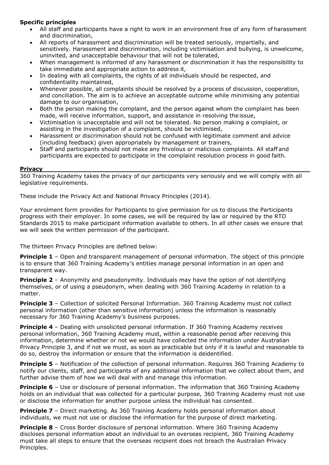# **Specific principles**

- All staff and participants have a right to work in an environment free of any form of harassment and discrimination,
- All reports of harassment and discrimination will be treated seriously, impartially, and sensitively. Harassment and discrimination, including victimisation and bullying, is unwelcome, uninvited, and unacceptable behaviour that will not be tolerated,
- When management is informed of any harassment or discrimination it has the responsibility to take immediate and appropriate action to address it,
- In dealing with all complaints, the rights of all individuals should be respected, and confidentiality maintained,
- Whenever possible, all complaints should be resolved by a process of discussion, cooperation, and conciliation. The aim is to achieve an acceptable outcome while minimising any potential damage to our organisation,
- Both the person making the complaint, and the person against whom the complaint has been made, will receive information, support, and assistance in resolving the issue,
- Victimisation is unacceptable and will not be tolerated. No person making a complaint, or assisting in the investigation of a complaint, should be victimised,
- Harassment or discrimination should not be confused with legitimate comment and advice (including feedback) given appropriately by management or trainers,
- Staff and participants should not make any frivolous or malicious complaints. All staff and participants are expected to participate in the complaint resolution process in good faith.

#### <span id="page-7-0"></span>**Privacy**

360 Training Academy takes the privacy of our participants very seriously and we will comply with all legislative requirements.

These include the Privacy Act and National Privacy Principles (2014).

Your enrolment form provides for Participants to give permission for us to discuss the Participants progress with their employer. In some cases, we will be required by law or required by the RTO Standards 2015 to make participant information available to others. In all other cases we ensure that we will seek the written permission of the participant.

The thirteen Privacy Principles are defined below:

**Principle 1** - Open and transparent management of personal information. The object of this principle is to ensure that 360 Training Academy's entities manage personal information in an open and transparent way.

**Principle 2** – Anonymity and pseudonymity. Individuals may have the option of not identifying themselves, or of using a pseudonym, when dealing with 360 Training Academy in relation to a matter.

**Principle 3** – Collection of solicited Personal Information. 360 Training Academy must not collect personal information (other than sensitive information) unless the information is reasonably necessary for 360 Training Academy's business purposes.

**Principle 4** – Dealing with unsolicited personal information. If 360 Training Academy receives personal information, 360 Training Academy must, within a reasonable period after receiving this information, determine whether or not we would have collected the information under Australian Privacy Principle 3, and if not we must, as soon as practicable but only if it is lawful and reasonable to do so, destroy the information or ensure that the information is deidentified.

**Principle 5** – Notification of the collection of personal information. Requires 360 Training Academy to notify our clients, staff, and participants of any additional information that we collect about them, and further advise them of how we will deal with and manage this information.

**Principle 6** – Use or disclosure of personal information. The information that 360 Training Academy holds on an individual that was collected for a particular purpose, 360 Training Academy must not use or disclose the information for another purpose unless the individual has consented.

**Principle 7** – Direct marketing. As 360 Training Academy holds personal information about individuals, we must not use or disclose the information for the purpose of direct marketing.

**Principle 8** – Cross Border disclosure of personal information. Where 360 Training Academy discloses personal information about an individual to an overseas recipient, 360 Training Academy must take all steps to ensure that the overseas recipient does not breach the Australian Privacy Principles.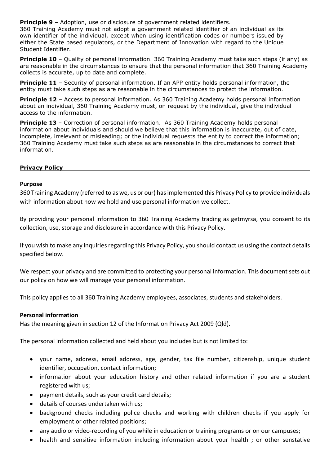<span id="page-8-0"></span>**Principle 9** – Adoption, use or disclosure of government related identifiers.

360 Training Academy must not adopt a government related identifier of an individual as its own identifier of the individual, except when using identification codes or numbers issued by either the State based regulators, or the Department of Innovation with regard to the Unique Student Identifier.

**Principle 10** - Quality of personal information. 360 Training Academy must take such steps (if any) as are reasonable in the circumstances to ensure that the personal information that 360 Training Academy collects is accurate, up to date and complete.

**Principle 11** - Security of personal information. If an APP entity holds personal information, the entity must take such steps as are reasonable in the circumstances to protect the information.

**Principle 12** - Access to personal information. As 360 Training Academy holds personal information about an individual, 360 Training Academy must, on request by the individual, give the individual access to the information.

**Principle 13** – Correction of personal information. As 360 Training Academy holds personal information about individuals and should we believe that this information is inaccurate, out of date, incomplete, irrelevant or misleading; or the individual requests the entity to correct the information; 360 Training Academy must take such steps as are reasonable in the circumstances to correct that information.

#### **Privacy Policy**

#### **Purpose**

360 Training Academy (referred to as we, us or our) has implemented this Privacy Policy to provide individuals with information about how we hold and use personal information we collect.

By providing your personal information to 360 Training Academy trading as getmyrsa, you consent to its collection, use, storage and disclosure in accordance with this Privacy Policy.

If you wish to make any inquiries regarding this Privacy Policy, you should contact us using the contact details specified below.

We respect your privacy and are committed to protecting your personal information. This document sets out our policy on how we will manage your personal information.

This policy applies to all 360 Training Academy employees, associates, students and stakeholders.

#### **Personal information**

Has the meaning given in section 12 of the Information Privacy Act 2009 (Qld).

The personal information collected and held about you includes but is not limited to:

- your name, address, email address, age, gender, tax file number, citizenship, unique student identifier, occupation, contact information;
- information about your education history and other related information if you are a student registered with us;
- payment details, such as your credit card details;
- details of courses undertaken with us;
- background checks including police checks and working with children checks if you apply for employment or other related positions;
- any audio or video-recording of you while in education or training programs or on our campuses;
- health and sensitive information including information about your health ; or other senstative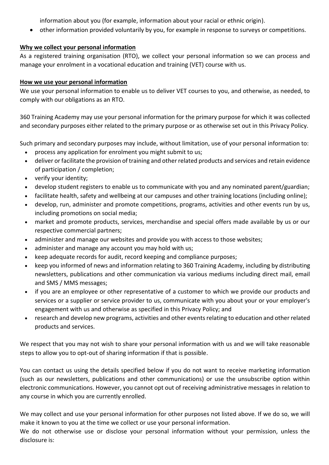information about you (for example, information about your racial or ethnic origin).

• other information provided voluntarily by you, for example in response to surveys or competitions.

# **Why we collect your personal information**

As a registered training organisation (RTO), we collect your personal information so we can process and manage your enrolment in a vocational education and training (VET) course with us.

# **How we use your personal information**

We use your personal information to enable us to deliver VET courses to you, and otherwise, as needed, to comply with our obligations as an RTO.

360 Training Academy may use your personal information for the primary purpose for which it was collected and secondary purposes either related to the primary purpose or as otherwise set out in this Privacy Policy.

Such primary and secondary purposes may include, without limitation, use of your personal information to:

- process any application for enrolment you might submit to us;
- deliver or facilitate the provision of training and other related products and services and retain evidence of participation / completion;
- verify your identity;
- develop student registers to enable us to communicate with you and any nominated parent/guardian;
- facilitate health, safety and wellbeing at our campuses and other training locations (including online);
- develop, run, administer and promote competitions, programs, activities and other events run by us, including promotions on social media;
- market and promote products, services, merchandise and special offers made available by us or our respective commercial partners;
- administer and manage our websites and provide you with access to those websites;
- administer and manage any account you may hold with us;
- keep adequate records for audit, record keeping and compliance purposes;
- keep you informed of news and information relating to 360 Training Academy, including by distributing newsletters, publications and other communication via various mediums including direct mail, email and SMS / MMS messages;
- if you are an employee or other representative of a customer to which we provide our products and services or a supplier or service provider to us, communicate with you about your or your employer's engagement with us and otherwise as specified in this Privacy Policy; and
- research and develop new programs, activities and other events relating to education and other related products and services.

We respect that you may not wish to share your personal information with us and we will take reasonable steps to allow you to opt-out of sharing information if that is possible.

You can contact us using the details specified below if you do not want to receive marketing information (such as our newsletters, publications and other communications) or use the unsubscribe option within electronic communications. However, you cannot opt out of receiving administrative messages in relation to any course in which you are currently enrolled.

We may collect and use your personal information for other purposes not listed above. If we do so, we will make it known to you at the time we collect or use your personal information.

We do not otherwise use or disclose your personal information without your permission, unless the disclosure is: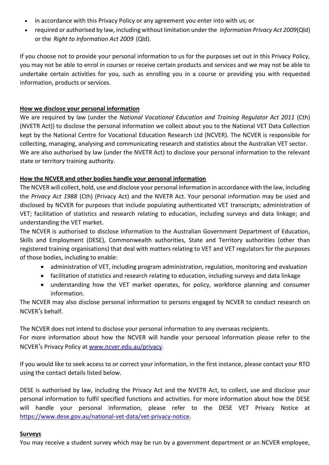- in accordance with this Privacy Policy or any agreement you enter into with us; or
- required or authorised by law, including without limitation under the *Information Privacy Act 2009*(Qld) or the *Right to Information Act 2009* (Qld).

If you choose not to provide your personal information to us for the purposes set out in this Privacy Policy, you may not be able to enrol in courses or receive certain products and services and we may not be able to undertake certain activities for you, such as enrolling you in a course or providing you with requested information, products or services.

# **How we disclose your personal information**

We are required by law (under the *National Vocational Education and Training Regulator Act 2011* (Cth) (NVETR Act)) to disclose the personal information we collect about you to the National VET Data Collection kept by the National Centre for Vocational Education Research Ltd (NCVER). The NCVER is responsible for collecting, managing, analysing and communicating research and statistics about the Australian VET sector. We are also authorised by law (under the NVETR Act) to disclose your personal information to the relevant state or territory training authority.

# **How the NCVER and other bodies handle your personal information**

The NCVER will collect, hold, use and disclose your personal information in accordance with the law, including the *Privacy Act 1988* (Cth) (Privacy Act) and the NVETR Act. Your personal information may be used and disclosed by NCVER for purposes that include populating authenticated VET transcripts; administration of VET; facilitation of statistics and research relating to education, including surveys and data linkage; and understanding the VET market.

The NCVER is authorised to disclose information to the Australian Government Department of Education, Skills and Employment (DESE), Commonwealth authorities, State and Territory authorities (other than registered training organisations) that deal with matters relating to VET and VET regulators for the purposes of those bodies, including to enable:

- administration of VET, including program administration, regulation, monitoring and evaluation
- facilitation of statistics and research relating to education, including surveys and data linkage
- understanding how the VET market operates, for policy, workforce planning and consumer information.

The NCVER may also disclose personal information to persons engaged by NCVER to conduct research on NCVER's behalf.

The NCVER does not intend to disclose your personal information to any overseas recipients. For more information about how the NCVER will handle your personal information please refer to the NCVER's Privacy Policy at [www.ncver.edu.au/privacy.](http://www.ncver.edu.au/privacy)

If you would like to seek access to or correct your information, in the first instance, please contact your RTO using the contact details listed below.

DESE is authorised by law, including the Privacy Act and the NVETR Act, to collect, use and disclose your personal information to fulfil specified functions and activities. For more information about how the DESE will handle your personal information, please refer to the DESE VET Privacy Notice at [https://www.dese.gov.au/national-vet-data/vet-privacy-notice.](https://www.dese.gov.au/national-vet-data/vet-privacy-notice)

# **Surveys**

You may receive a student survey which may be run by a government department or an NCVER employee,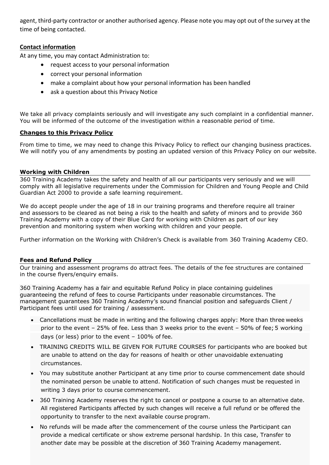agent, third-party contractor or another authorised agency. Please note you may opt out of the survey at the time of being contacted.

# **Contact information**

At any time, you may contact Administration to:

- request access to your personal information
- correct your personal information
- make a complaint about how your personal information has been handled
- ask a question about this Privacy Notice

We take all privacy complaints seriously and will investigate any such complaint in a confidential manner. You will be informed of the outcome of the investigation within a reasonable period of time.

#### **Changes to this Privacy Policy**

From time to time, we may need to change this Privacy Policy to reflect our changing business practices. We will notify you of any amendments by posting an updated version of this Privacy Policy on our website.

#### <span id="page-11-0"></span>**Working with Children**

360 Training Academy takes the safety and health of all our participants very seriously and we will comply with all legislative requirements under the Commission for Children and Young People and Child Guardian Act 2000 to provide a safe learning requirement.

We do accept people under the age of 18 in our training programs and therefore require all trainer and assessors to be cleared as not being a risk to the health and safety of minors and to provide 360 Training Academy with a copy of their Blue Card for working with Children as part of our key prevention and monitoring system when working with children and your people.

Further information on the Working with Children's Check is available from 360 Training Academy CEO.

#### <span id="page-11-1"></span>**Fees and Refund Policy**

Our training and assessment programs do attract fees. The details of the fee structures are contained in the course flyers/enquiry emails.

360 Training Academy has a fair and equitable Refund Policy in place containing guidelines guaranteeing the refund of fees to course Participants under reasonable circumstances. The management guarantees 360 Training Academy's sound financial position and safeguards Client / Participant fees until used for training / assessment.

- Cancellations must be made in writing and the following charges apply: More than three weeks prior to the event – 25% of fee. Less than 3 weeks prior to the event – 50% of fee; 5 working days (or less) prior to the event – 100% of fee.
- TRAINING CREDITS WILL BE GIVEN FOR FUTURE COURSES for participants who are booked but are unable to attend on the day for reasons of health or other unavoidable extenuating circumstances.
- You may substitute another Participant at any time prior to course commencement date should the nominated person be unable to attend. Notification of such changes must be requested in writing 3 days prior to course commencement.
- 360 Training Academy reserves the right to cancel or postpone a course to an alternative date. All registered Participants affected by such changes will receive a full refund or be offered the opportunity to transfer to the next available course program.
- No refunds will be made after the commencement of the course unless the Participant can provide a medical certificate or show extreme personal hardship. In this case, Transfer to another date may be possible at the discretion of 360 Training Academy management.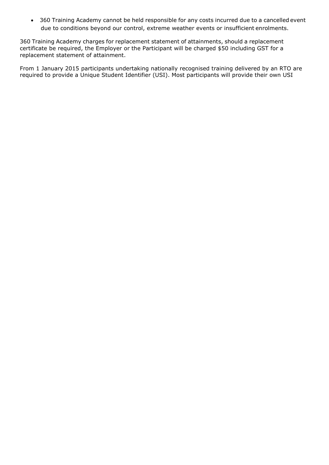• 360 Training Academy cannot be held responsible for any costs incurred due to a cancelled event due to conditions beyond our control, extreme weather events or insufficient enrolments.

360 Training Academy charges for replacement statement of attainments, should a replacement certificate be required, the Employer or the Participant will be charged \$50 including GST for a replacement statement of attainment.

From 1 January 2015 participants undertaking nationally recognised training delivered by an RTO are required to provide a Unique Student Identifier (USI). Most participants will provide their own USI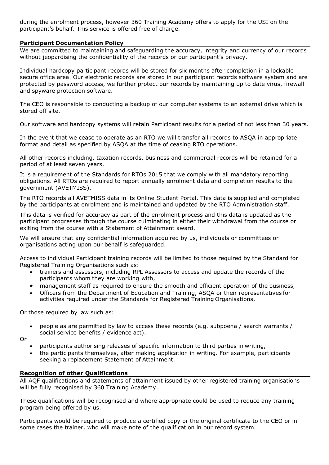during the enrolment process, however 360 Training Academy offers to apply for the USI on the participant's behalf. This service is offered free of charge.

#### <span id="page-13-0"></span>**Participant Documentation Policy**

We are committed to maintaining and safeguarding the accuracy, integrity and currency of our records without jeopardising the confidentiality of the records or our participant's privacy.

Individual hardcopy participant records will be stored for six months after completion in a lockable secure office area. Our electronic records are stored in our participant records software system and are protected by password access, we further protect our records by maintaining up to date virus, firewall and spyware protection software.

The CEO is responsible to conducting a backup of our computer systems to an external drive which is stored off site.

Our software and hardcopy systems will retain Participant results for a period of not less than 30 years.

In the event that we cease to operate as an RTO we will transfer all records to ASQA in appropriate format and detail as specified by ASQA at the time of ceasing RTO operations.

All other records including, taxation records, business and commercial records will be retained for a period of at least seven years.

It is a requirement of the Standards for RTOs 2015 that we comply with all mandatory reporting obligations. All RTOs are required to report annually enrolment data and completion results to the government (AVETMISS).

The RTO records all AVETMISS data in its Online Student Portal. This data is supplied and completed by the participants at enrolment and is maintained and updated by the RTO Administration staff.

This data is verified for accuracy as part of the enrolment process and this data is updated as the participant progresses through the course culminating in either their withdrawal from the course or exiting from the course with a Statement of Attainment award.

We will ensure that any confidential information acquired by us, individuals or committees or organisations acting upon our behalf is safeguarded.

Access to individual Participant training records will be limited to those required by the Standard for Registered Training Organisations such as:

- trainers and assessors, including RPL Assessors to access and update the records of the participants whom they are working with,
- management staff as required to ensure the smooth and efficient operation of the business,
- Officers from the Department of Education and Training, ASQA or their representatives for activities required under the Standards for Registered Training Organisations,

Or those required by law such as:

• people as are permitted by law to access these records (e.g. subpoena / search warrants / social service benefits / evidence act).

Or

- participants authorising releases of specific information to third parties in writing,
- the participants themselves, after making application in writing. For example, participants seeking a replacement Statement of Attainment.

#### <span id="page-13-1"></span>**Recognition of other Qualifications**

All AQF qualifications and statements of attainment issued by other registered training organisations will be fully recognised by 360 Training Academy.

These qualifications will be recognised and where appropriate could be used to reduce any training program being offered by us.

Participants would be required to produce a certified copy or the original certificate to the CEO or in some cases the trainer, who will make note of the qualification in our record system.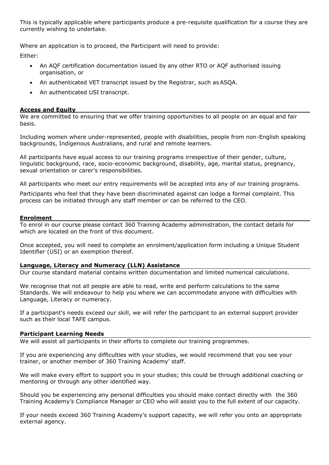This is typically applicable where participants produce a pre-requisite qualification for a course they are currently wishing to undertake.

Where an application is to proceed, the Participant will need to provide:

Either:

- An AQF certification documentation issued by any other RTO or AQF authorised issuing organisation, or
- An authenticated VET transcript issued by the Registrar, such as ASQA.
- An authenticated USI transcript.

#### <span id="page-14-0"></span>**Access and Equity**

We are committed to ensuring that we offer training opportunities to all people on an equal and fair basis.

Including women where under-represented, people with disabilities, people from non-English speaking backgrounds, Indigenous Australians, and rural and remote learners.

All participants have equal access to our training programs irrespective of their gender, culture, linguistic background, race, socio-economic background, disability, age, marital status, pregnancy, sexual orientation or carer's responsibilities.

All participants who meet our entry requirements will be accepted into any of our training programs.

Participants who feel that they have been discriminated against can lodge a formal complaint. This process can be initiated through any staff member or can be referred to the CEO.

#### <span id="page-14-1"></span>**Enrolment**

To enrol in our course please contact 360 Training Academy administration, the contact details for which are located on the front of this document.

Once accepted, you will need to complete an enrolment/application form including a Unique Student Identifier (USI) or an exemption thereof.

#### <span id="page-14-2"></span>**Language, Literacy and Numeracy (LLN) Assistance**

Our course standard material contains written documentation and limited numerical calculations.

We recognise that not all people are able to read, write and perform calculations to the same Standards. We will endeavour to help you where we can accommodate anyone with difficulties with Language, Literacy or numeracy.

If a participant's needs exceed our skill, we will refer the participant to an external support provider such as their local TAFE campus.

#### <span id="page-14-3"></span>**Participant Learning Needs**

We will assist all participants in their efforts to complete our training programmes.

If you are experiencing any difficulties with your studies, we would recommend that you see your trainer, or another member of 360 Training Academy' staff.

We will make every effort to support you in your studies; this could be through additional coaching or mentoring or through any other identified way.

Should you be experiencing any personal difficulties you should make contact directly with the 360 Training Academy's Compliance Manager or CEO who will assist you to the full extent of our capacity.

If your needs exceed 360 Training Academy's support capacity, we will refer you onto an appropriate external agency.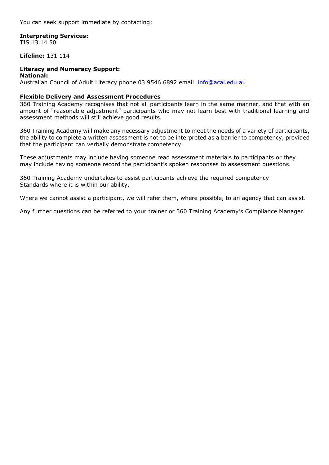You can seek support immediate by contacting:

# **Interpreting Services:**

TIS 13 14 50

#### **Lifeline:** 131 114

#### **Literacy and Numeracy Support:**

**National:** Australian Council of Adult Literacy phone 03 9546 6892 email [info@acal.edu.au](mailto:info@acal.edu.au)

#### <span id="page-15-0"></span>**Flexible Delivery and Assessment Procedures**

360 Training Academy recognises that not all participants learn in the same manner, and that with an amount of "reasonable adjustment" participants who may not learn best with traditional learning and assessment methods will still achieve good results.

360 Training Academy will make any necessary adjustment to meet the needs of a variety of participants, the ability to complete a written assessment is not to be interpreted as a barrier to competency, provided that the participant can verbally demonstrate competency.

These adjustments may include having someone read assessment materials to participants or they may include having someone record the participant's spoken responses to assessment questions.

360 Training Academy undertakes to assist participants achieve the required competency Standards where it is within our ability.

Where we cannot assist a participant, we will refer them, where possible, to an agency that can assist.

Any further questions can be referred to your trainer or 360 Training Academy's Compliance Manager.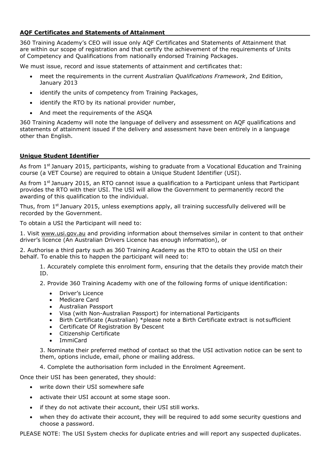## <span id="page-16-0"></span>**AQF Certificates and Statements of Attainment**

360 Training Academy's CEO will issue only AQF Certificates and Statements of Attainment that are within our scope of registration and that certify the achievement of the requirements of Units of Competency and Qualifications from nationally endorsed Training Packages.

We must issue, record and issue statements of attainment and certificates that:

- meet the requirements in the current *Australian Qualifications Framework*, 2nd Edition, January 2013
- identify the units of competency from Training Packages,
- identify the RTO by its national provider number,
- And meet the requirements of the ASQA

360 Training Academy will note the language of delivery and assessment on AQF qualifications and statements of attainment issued if the delivery and assessment have been entirely in a language other than English.

## <span id="page-16-1"></span>**Unique Student Identifier**

As from  $1^{st}$  January 2015, participants, wishing to graduate from a Vocational Education and Training course (a VET Course) are required to obtain a Unique Student Identifier (USI).

As from  $1^{st}$  January 2015, an RTO cannot issue a qualification to a Participant unless that Participant provides the RTO with their USI. The USI will allow the Government to permanently record the awarding of this qualification to the individual.

Thus, from  $1<sup>st</sup>$  January 2015, unless exemptions apply, all training successfully delivered will be recorded by the Government.

To obtain a USI the Participant will need to:

1. Visit [www.usi.gov.au](http://www.usi.gov.au/) and providing information about themselves similar in content to that ontheir driver's licence (An Australian Drivers Licence has enough information), or

2. Authorise a third party such as 360 Training Academy as the RTO to obtain the USI on their behalf. To enable this to happen the participant will need to:

1. Accurately complete this enrolment form, ensuring that the details they provide match their ID.

2. Provide 360 Training Academy with one of the following forms of unique identification:

- Driver's Licence
- Medicare Card
- Australian Passport
- Visa (with Non-Australian Passport) for international Participants
- Birth Certificate (Australian) \*please note a Birth Certificate extract is not sufficient
- Certificate Of Registration By Descent
- Citizenship Certificate
- ImmiCard

3. Nominate their preferred method of contact so that the USI activation notice can be sent to them, options include, email, phone or mailing address.

4. Complete the authorisation form included in the Enrolment Agreement.

Once their USI has been generated, they should:

- write down their USI somewhere safe
- activate their USI account at some stage soon.
- if they do not activate their account, their USI still works.
- when they do activate their account, they will be required to add some security questions and choose a password.

PLEASE NOTE: The USI System checks for duplicate entries and will report any suspected duplicates.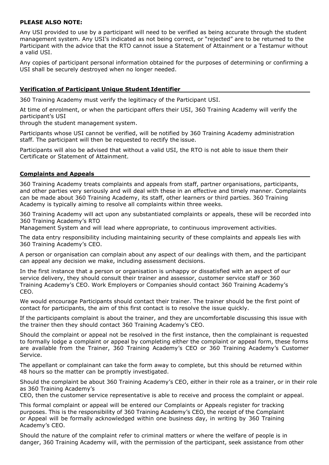#### **PLEASE ALSO NOTE:**

Any USI provided to use by a participant will need to be verified as being accurate through the student management system. Any USI's indicated as not being correct, or "rejected" are to be returned to the Participant with the advice that the RTO cannot issue a Statement of Attainment or a Testamur without a valid USI.

Any copies of participant personal information obtained for the purposes of determining or confirming a USI shall be securely destroyed when no longer needed.

#### <span id="page-17-0"></span>**Verification of Participant Unique Student Identifier**

360 Training Academy must verify the legitimacy of the Participant USI.

At time of enrolment, or when the participant offers their USI, 360 Training Academy will verify the participant's USI

through the student management system.

Participants whose USI cannot be verified, will be notified by 360 Training Academy administration staff. The participant will then be requested to rectify the issue.

Participants will also be advised that without a valid USI, the RTO is not able to issue them their Certificate or Statement of Attainment.

#### <span id="page-17-1"></span>**Complaints and Appeals**

360 Training Academy treats complaints and appeals from staff, partner organisations, participants, and other parties very seriously and will deal with these in an effective and timely manner. Complaints can be made about 360 Training Academy, its staff, other learners or third parties. 360 Training Academy is typically aiming to resolve all complaints within three weeks.

360 Training Academy will act upon any substantiated complaints or appeals, these will be recorded into 360 Training Academy's RTO

Management System and will lead where appropriate, to continuous improvement activities.

The data entry responsibility including maintaining security of these complaints and appeals lies with 360 Training Academy's CEO.

A person or organisation can complain about any aspect of our dealings with them, and the participant can appeal any decision we make, including assessment decisions.

In the first instance that a person or organisation is unhappy or dissatisfied with an aspect of our service delivery, they should consult their trainer and assessor, customer service staff or 360 Training Academy's CEO. Work Employers or Companies should contact 360 Training Academy's CEO.

We would encourage Participants should contact their trainer. The trainer should be the first point of contact for participants, the aim of this first contact is to resolve the issue quickly.

If the participants complaint is about the trainer, and they are uncomfortable discussing this issue with the trainer then they should contact 360 Training Academy's CEO.

Should the complaint or appeal not be resolved in the first instance, then the complainant is requested to formally lodge a complaint or appeal by completing either the complaint or appeal form, these forms are available from the Trainer, 360 Training Academy's CEO or 360 Training Academy's Customer Service.

The appellant or complainant can take the form away to complete, but this should be returned within 48 hours so the matter can be promptly investigated.

Should the complaint be about 360 Training Academy's CEO, either in their role as a trainer, or in their role as 360 Training Academy's

CEO, then the customer service representative is able to receive and process the complaint or appeal.

This formal complaint or appeal will be entered our Complaints or Appeals register for tracking purposes. This is the responsibility of 360 Training Academy's CEO, the receipt of the Complaint or Appeal will be formally acknowledged within one business day, in writing by 360 Training Academy's CEO.

Should the nature of the complaint refer to criminal matters or where the welfare of people is in danger, 360 Training Academy will, with the permission of the participant, seek assistance from other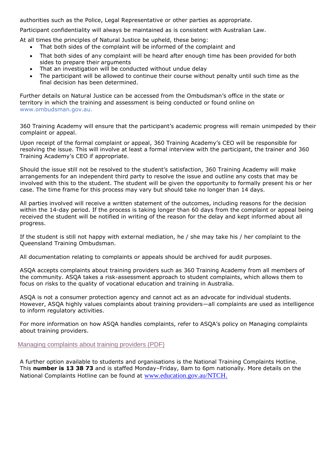authorities such as the Police, Legal Representative or other parties as appropriate.

Participant confidentiality will always be maintained as is consistent with Australian Law.

At all times the principles of Natural Justice be upheld, these being:

- That both sides of the complaint will be informed of the complaint and
- That both sides of any complaint will be heard after enough time has been provided for both sides to prepare their arguments
- That an investigation will be conducted without undue delay
- The participant will be allowed to continue their course without penalty until such time as the final decision has been determined.

Further details on Natural Justice can be accessed from the Ombudsman's office in the state or territory in which the training and assessment is being conducted or found online on [www.ombudsman.gov.au.](http://www.ombudsman.gov.au/)

360 Training Academy will ensure that the participant's academic progress will remain unimpeded by their complaint or appeal.

Upon receipt of the formal complaint or appeal, 360 Training Academy's CEO will be responsible for resolving the issue. This will involve at least a formal interview with the participant, the trainer and 360 Training Academy's CEO if appropriate.

Should the issue still not be resolved to the student's satisfaction, 360 Training Academy will make arrangements for an independent third party to resolve the issue and outline any costs that may be involved with this to the student. The student will be given the opportunity to formally present his or her case. The time frame for this process may vary but should take no longer than 14 days.

All parties involved will receive a written statement of the outcomes, including reasons for the decision within the 14-day period. If the process is taking longer than 60 days from the complaint or appeal being received the student will be notified in writing of the reason for the delay and kept informed about all progress.

If the student is still not happy with external mediation, he / she may take his / her complaint to the Queensland Training Ombudsman.

All documentation relating to complaints or appeals should be archived for audit purposes.

ASQA accepts complaints about training providers such as 360 Training Academy from all members of the community. ASQA takes a risk-assessment approach to student complaints, which allows them to focus on risks to the quality of vocational education and training in Australia.

ASQA is not a consumer protection agency and cannot act as an advocate for individual students. However, ASQA highly values complaints about training providers—all complaints are used as intelligence to inform regulatory activities.

For more information on how ASQA handles complaints, refer to ASQA's policy on Managing complaints about training providers.

[Managing complaints about training providers \(PDF\)](https://www.asqa.gov.au/file/10151/download?token=vsZTCft_)

A further option available to students and organisations is the National Training Complaints Hotline. This **number is 13 38 73** and is staffed Monday–Friday, 8am to 6pm nationally. More details on the National Complaints Hotline can be found at [www.education.gov.au/NTCH](http://www.education.gov.au/NTCH).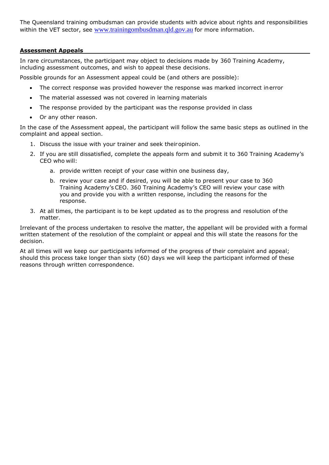The Queensland training ombudsman can provide students with advice about rights and responsibilities within the VET sector, see [www.trainingombusdman.qld.gov.au](http://www.trainingombusdman.qld.gov.au/) for more information.

#### <span id="page-19-0"></span>**Assessment Appeals**

In rare circumstances, the participant may object to decisions made by 360 Training Academy, including assessment outcomes, and wish to appeal these decisions.

Possible grounds for an Assessment appeal could be (and others are possible):

- The correct response was provided however the response was marked incorrect inerror
- The material assessed was not covered in learning materials
- The response provided by the participant was the response provided in class
- Or any other reason.

In the case of the Assessment appeal, the participant will follow the same basic steps as outlined in the complaint and appeal section.

- 1. Discuss the issue with your trainer and seek theiropinion.
- 2. If you are still dissatisfied, complete the appeals form and submit it to 360 Training Academy's CEO who will:
	- a. provide written receipt of your case within one business day,
	- b. review your case and if desired, you will be able to present your case to 360 Training Academy's CEO. 360 Training Academy's CEO will review your case with you and provide you with a written response, including the reasons for the response.
- 3. At all times, the participant is to be kept updated as to the progress and resolution of the matter.

Irrelevant of the process undertaken to resolve the matter, the appellant will be provided with a formal written statement of the resolution of the complaint or appeal and this will state the reasons for the decision.

At all times will we keep our participants informed of the progress of their complaint and appeal; should this process take longer than sixty (60) days we will keep the participant informed of these reasons through written correspondence.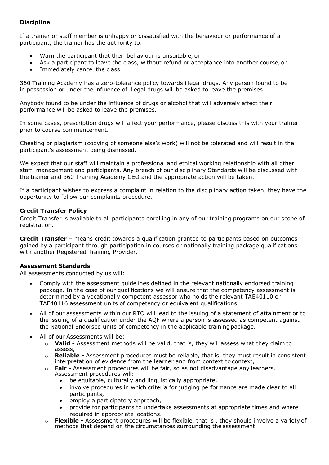#### <span id="page-20-0"></span>**Discipline**

If a trainer or staff member is unhappy or dissatisfied with the behaviour or performance of a participant, the trainer has the authority to:

- Warn the participant that their behaviour is unsuitable, or
- Ask a participant to leave the class, without refund or acceptance into another course, or
- Immediately cancel the class.

360 Training Academy has a zero-tolerance policy towards illegal drugs. Any person found to be in possession or under the influence of illegal drugs will be asked to leave the premises.

Anybody found to be under the influence of drugs or alcohol that will adversely affect their performance will be asked to leave the premises.

In some cases, prescription drugs will affect your performance, please discuss this with your trainer prior to course commencement.

Cheating or plagiarism (copying of someone else's work) will not be tolerated and will result in the participant's assessment being dismissed.

We expect that our staff will maintain a professional and ethical working relationship with all other staff, management and participants. Any breach of our disciplinary Standards will be discussed with the trainer and 360 Training Academy CEO and the appropriate action will be taken.

If a participant wishes to express a complaint in relation to the disciplinary action taken, they have the opportunity to follow our complaints procedure.

#### <span id="page-20-1"></span>**Credit Transfer Policy**

Credit Transfer is available to all participants enrolling in any of our training programs on our scope of registration.

**Credit Transfer** – means credit towards a qualification granted to participants based on outcomes gained by a participant through participation in courses or nationally training package qualifications with another Registered Training Provider.

#### <span id="page-20-2"></span>**Assessment Standards**

All assessments conducted by us will:

- Comply with the assessment guidelines defined in the relevant nationally endorsed training package. In the case of our qualifications we will ensure that the competency assessment is determined by a vocationally competent assessor who holds the relevant TAE40110 or TAE40116 assessment units of competency or equivalent qualifications.
- All of our assessments within our RTO will lead to the issuing of a statement of attainment or to the issuing of a qualification under the AQF where a person is assessed as competent against the National Endorsed units of competency in the applicable training package.
- All of our Assessments will be:
	- o **Valid -** Assessment methods will be valid, that is, they will assess what they claim to assess,
	- o **Reliable -** Assessment procedures must be reliable, that is, they must result in consistent interpretation of evidence from the learner and from context to context,
	- o **Fair -** Assessment procedures will be fair, so as not disadvantage any learners. Assessment procedures will:
		- be equitable, culturally and linguistically appropriate,
		- involve procedures in which criteria for judging performance are made clear to all participants,
		- employ a participatory approach,
		- provide for participants to undertake assessments at appropriate times and where required in appropriate locations.
	- o **Flexible -** Assessment procedures will be flexible, that is , they should involve a variety of methods that depend on the circumstances surrounding the assessment,